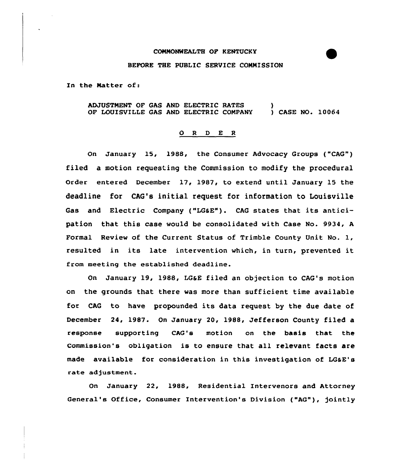## CONNONWEALTH OF KENTUCKY

## BEFORE THE PUBLIC SERVICE CONNISSION

In the Natter of:

ADJUSTNENT OF GAS AND ELECTRIC RATES OF LOUISUILLE GAS AND ELECTRIC COMPANY ) ) CASE NO. 10064

## 0 <sup>R</sup> <sup>D</sup> E <sup>R</sup>

On January 15, 1988, the Consumer Advocacy Groups ("CAG") filed a motion requesting the Commission to modify the procedural Order entered December 17, 1987, to extend until January 15 the deadline for CAG's initial request for information to Louisville Gas and Electric Company ("LG&E"). CAG states that its anticipation that this case would be consolidated with Case No. 9934, <sup>A</sup> Formal Review of the Current Status of Trimble County Unit No. 1, resulted in its late intervention which, in turn, prevented it from meeting the established deadline.

On January 19, 1988, LGSE filed an objection to CAG's motion on the grounds that there was more than sufficient time available for CAG to have propounded its data request by the due date of December 24, 1987. On January 20, 1988, Jefferson County filed a response supporting CAG's motion on the basis that the Commission's obligation is to ensure that all relevant facts are made available for consideration in this investigation of LGaE's rate adjustment.

On January 22, 1988, Residential Intervenors and Attorney General's Office, Consumer Intervention's Division ("AG"), jointly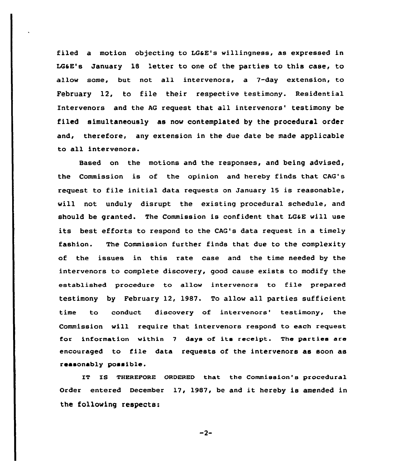filed a motion objecting to LG&E's willingness, as expressed in LGaE's January 1B 'etter to one of the parties to this case, to allow some, but not all intervenors, a 7-day extension, to February 12, to file their respective testimony. Residential Intervenors and the AG request that all intervenors' testimony be filed simultaneously as now contemplated by the procedural order and, therefore, any extension in the due date be made applicable to all intervenors.

Based on the motions and the responses, and being advised, the Commission is of the opinion and hereby finds that CAG's request to file initial data requests on January 15 is reasonable, will not unduly disrupt the existing procedural schedule, and should be granted. The Commission is confident that LGaE will use its best efforts to respond to the CAG's data request in a timely fashion. The Commission further finds that due to the complexity of the issues in this rate case and the time needed by the intervenors to complete discovery, good cause exists to modify the established procedure to allow intervenors to file prepared testimony by February 12, 1987. To allow all parties sufficient time to conduct discovery of intervenors' testimony, the Commission will require that intervenora respond to each request for information within <sup>7</sup> days of its receipt. The parties are encouraged to file data requests of the intervenors as soon as reasonably possible.

IT IS THEREFORE ORDERED that the Commission's procedural Order entered December 17, 1987, be and it hereby is amended in the following respects:

 $-2-$